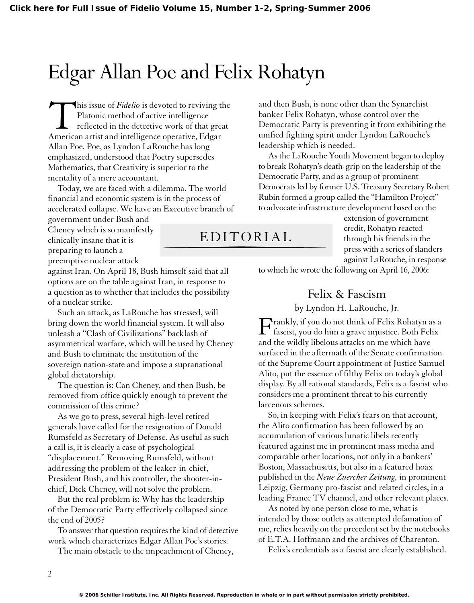## Edgar Allan Poe and Felix Rohatyn

This issue of *Fidelio* is devoted to reviving the<br>Platonic method of active intelligence<br>reflected in the detective work of that great<br>American artist and intelligence operative, Edgar Platonic method of active intelligence reflected in the detective work of that great American artist and intelligence operative, Edgar Allan Poe. Poe, as Lyndon LaRouche has long emphasized, understood that Poetry supersedes Mathematics, that Creativity is superior to the mentality of a mere accountant.

Today, we are faced with a dilemma. The world financial and economic system is in the process of accelerated collapse. We have an Executive branch of

government under Bush and Cheney which is so manifestly clinically insane that it is preparing to launch a preemptive nuclear attack

against Iran. On April 18, Bush himself said that all options are on the table against Iran, in response to a question as to whether that includes the possibility of a nuclear strike.

Such an attack, as LaRouche has stressed, will bring down the world financial system. It will also unleash a "Clash of Civilizations" backlash of asymmetrical warfare, which will be used by Cheney and Bush to eliminate the institution of the sovereign nation-state and impose a supranational global dictatorship.

The question is: Can Cheney, and then Bush, be removed from office quickly enough to prevent the commission of this crime?

As we go to press, several high-level retired generals have called for the resignation of Donald Rumsfeld as Secretary of Defense. As useful as such a call is, it is clearly a case of psychological "displacement." Removing Rumsfeld, without addressing the problem of the leaker-in-chief, President Bush, and his controller, the shooter-inchief, Dick Cheney, will not solve the problem.

But the real problem is: Why has the leadership of the Democratic Party effectively collapsed since the end of 2005?

To answer that question requires the kind of detective work which characterizes Edgar Allan Poe's stories.

The main obstacle to the impeachment of Cheney,

and then Bush, is none other than the Synarchist banker Felix Rohatyn, whose control over the Democratic Party is preventing it from exhibiting the unified fighting spirit under Lyndon LaRouche's leadership which is needed.

As the LaRouche Youth Movement began to deploy to break Rohatyn's death-grip on the leadership of the Democratic Party, and as a group of prominent Democrats led by former U.S. Treasury Secretary Robert Rubin formed a group called the "Hamilton Project" to advocate infrastructure development based on the

## EDITORIAL

extension of government credit, Rohatyn reacted through his friends in the press with a series of slanders against LaRouche, in response

to which he wrote the following on April 16, 2006:

## Felix & Fascism

by Lyndon H. LaRouche, Jr.

Frankly, if you do not think of Felix Rohatyn as a<br>fascist, you do him a grave injustice. Both Felix and the wildly libelous attacks on me which have surfaced in the aftermath of the Senate confirmation of the Supreme Court appointment of Justice Samuel Alito, put the essence of filthy Felix on today's global display. By all rational standards, Felix is a fascist who considers me a prominent threat to his currently larcenous schemes.

So, in keeping with Felix's fears on that account, the Alito confirmation has been followed by an accumulation of various lunatic libels recently featured against me in prominent mass media and comparable other locations, not only in a bankers' Boston, Massachusetts, but also in a featured hoax published in the *Neue Zuercher Zeitung,* in prominent Leipzig, Germany pro-fascist and related circles, in a leading France TV channel, and other relevant places.

As noted by one person close to me, what is intended by those outlets as attempted defamation of me, relies heavily on the precedent set by the notebooks of E.T.A. Hoffmann and the archives of Charenton.

Felix's credentials as a fascist are clearly established.